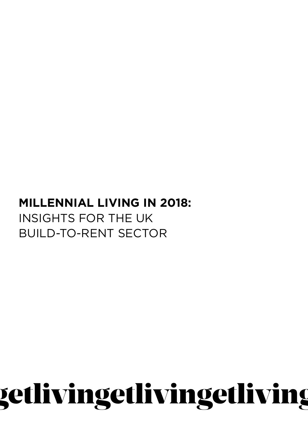### **MILLENNIAL LIVING IN 2018:**  INSIGHTS FOR THE UK BUILD-TO-RENT SECTOR

# getlivingetlivingetliving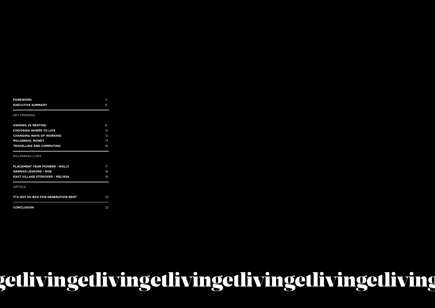**EXECUTIVE SUMMARY** 6



# getlivingetlivingetlivingetlivingetliving

| <b>KEY FINDINGS</b>                        |    |
|--------------------------------------------|----|
| <b>OWNING VS RENTING</b>                   | 8  |
| <b>CHOOSING WHERE TO LIVE</b>              | 10 |
| <b>CHANGING WAYS OF WORKING</b>            | 12 |
| <b>MILLENNIAL MONEY</b>                    | 14 |
| <b>TRAVELLING AND COMMUTING</b>            | 16 |
| MILLENNIAL LIVES                           |    |
|                                            |    |
| PLACEMENT YEAR PIONEER - MOLLY             | 17 |
| <b>GERMAN LESSONS - ROB</b>                | 18 |
| <b>EAST VILLAGE STOPOVER - MELISSA</b>     | 19 |
| <b>ARTICLE</b>                             |    |
|                                            |    |
| <b>IT'S NOT SO BAD FOR GENERATION RENT</b> | 20 |
| <b>CONCLUSION</b>                          | 22 |
|                                            |    |

**FOREWORD**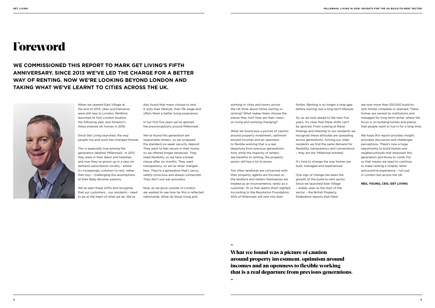## Foreword

When we opened East Village at the end of 2013, Uber and Deliveroo were still new to London, WeWork launched its first London location the following year, and Amazon's Alexa entered UK homes in 2016.

Since Get Living launched, the way people live and work has changed forever.

This is especially true among the generation labelled 'Millennials'. In 2013 they were in their teens and twenties, and now they've grown up in a new ondemand subscription society - where it's increasingly common to rent, rather than buy - challenging the assumptions of their Baby Boomer parents.

We've seen these shifts and recognise that our customers - our residents - need to be at the heart of what we do. We've

also found that many choose to rent. It suits their lifestyle, their life stage and offers them a better living experience.

In our first five years we've ignored the preconceptions around Millennials.

We've found this generation are responsible renters, so we scrapped the standard six-week security deposit. They want to feel secure in their home, so we offered longer tenancies. They need flexibility, so we have a break clause after six months. They want transparency, so we've never charged fees. They're a generation that's savvy, safety-conscious and always connected. They don't just eat avocados.

Now, as we grow outside of London, we wanted to see how far this is reflected nationwide. What do those living and

**WE COMMISSIONED THIS REPORT TO MARK GET LIVING'S FIFTH ANNIVERSARY. SINCE 2013 WE'VE LED THE CHARGE FOR A BETTER WAY OF RENTING. NOW WE'RE LOOKING BEYOND LONDON AND TAKING WHAT WE'VE LEARNT TO CITIES ACROSS THE UK.**



working in cities and towns across the UK think about home owning vs renting? What makes them choose the places they live? How are their views on living and working changing?

What we found was a picture of caution around property investment, optimism around incomes and an openness to flexible working that is a real departure from previous generations. And, while the majority of renters see benefits to renting, the property sector still has a lot to prove.

Too often landlords are concerned with their property, agents are focused on the landlord and renters themselves are treated as an inconvenience, rarely as a customer. To us that seems short-sighted. According to the Resolution Foundation, 40% of Millennials will rent into their

forties. Renting is no longer a stop-gap before owning, but a long-term lifestyle.

So, as we look ahead to the next five years, it's clear that these shifts can't be ignored. From looking at these findings and listening to our residents we recognise these attitudes are spreading across generations. Among our older residents we find the same demand for flexibility, transparency and convenience – they are the 'Millennial-minded'.

It's time to change the way homes are built, managed and experienced.

One sign of change has been the growth of the build-to-rent sector. Since we launched East Village – widely seen as the start of the sector – the British Property Federation reports that there

are now more than 100,000 build-torent homes complete or planned. These homes are owned by institutions and managed for long-term rental, where the focus is on building homes and places that people want to live in for a long time.

We hope this report provides insight, provokes discussion and challenges perceptions. There's now a huge opportunity to build homes and neighbourhoods that empower this generation and those to come. For us that means we need to continue to make renting a simpler, fairer and positive experience – not just in London but across the UK.

#### **NEIL YOUNG, CEO, GET LIVING**

"

What we found was a picture of caution around property investment, optimism around incomes and an openness to flexible working that is a real departure from previous generations.

"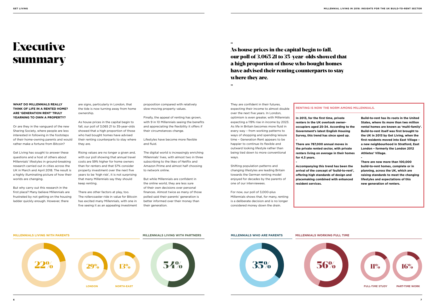## Executive summary

**WHAT DO MILLENNIALS REALLY THINK OF LIFE IN A RENTED HOME? ARE 'GENERATION RENT' TRULY YEARNING TO OWN A PROPERTY?**

Or are they in the vanguard of the new Sharing Society, where people are less interested in following in the footsteps of their home-owning parents and would rather make a fortune from Bitcoin?

Get Living has sought to answer these questions and a host of others about Millennials' lifestyles in ground-breaking research carried out in cities across the UK in March and April 2018. The result is a highly illuminating picture of how their worlds are changing.

But why carry out this research in the first place? Many believe Millennials are frustrated by not getting on the housing ladder quickly enough. However, there

are signs, particularly in London, that the tide is now turning away from home ownership.

As house prices in the capital begin to fall, our poll of 3,065 21 to 35-year-olds showed that a high proportion of those who had bought homes have advised their renting counterparts to stay where they are.

Rising values are no longer a given and, with our poll showing that annual travel costs are 59% higher for home owners than for renters and that 57% consider property investment over the next five years to be 'high risk', it is not surprising that many Millennials say they should keep renting.

There are other factors at play, too. The rollercoaster ride in value for Bitcoin has excited many Millennials, with one in five seeing it as an appealing investment

proposition compared with relatively slow-moving property values.

Finally, the appeal of renting has grown, with 9 in 10 Millennials seeing the benefits and appreciating the flexibility it offers if their circumstances change.

Lifestyles have become more flexible and fluid.

The digital world is increasingly enriching Millennials' lives, with almost two in three subscribing to the likes of Netflix and Amazon Prime and almost half choosing to network online.

But while Millennials are confident in the online world, they are less sure of their own decisions over personal finances. Almost twice as many of those polled said their parents' generation is better informed over their money than their generation.

They are confident in their futures, expecting their income to almost double over the next five years. In London, optimism is even greater, with Millennials expecting a 119% rise in income by 2023. As life in Britain becomes more fluid in every way – from working patterns to ways of shopping and spending leisure time – Generation Rent appears to be happier to continue its flexible and outward looking lifestyle rather than being tied down to more conventional ways.

Shifting population patterns and changing lifestyles are leading Britain towards the German renting model enjoyed for decades by the parents of one of our interviewees.

For now, our poll of 3,000-plus Millennials shows that, for many, renting is a deliberate decision and is no longer considered money down the drain.

" As house prices in the capital begin to fall, our poll of 3,065 21 to 35-year-olds showed that a high proportion of those who bought homes have advised their renting counterparts to stay where they are.

"

### **RENTING IS NOW THE NORM AMONG MILLENNIALS.**

**In 2013, for the first time, private renters in the UK overtook owneroccupiers aged 25-34. According to the Government's latest English Housing Survey, this trend has since sped up.**

**-**

**There are 787,000 annual moves in the private rented sector, with private renters living on average in their homes for 4.3 years.** 

**-**

**Accompanying this trend has been the arrival of the concept of 'build-to-rent', offering high standards of design and placemaking combined with enhanced resident services.** 

**Build-to-rent has its roots in the United States, where its more than two million rental homes are known as 'multi-family'. Build-to-rent itself was first brought to the UK in 2013 by Get Living, when the first residents moved into East Village – a new neighbourhood in Stratford, East London – formerly the London 2012 Athletes' Village.** 

**-**

**There are now more than 100,000 build-to-rent homes, complete or in planning, across the UK, which are raising standards to meet the changing lifestyles and expectations of this new generation of renters.**

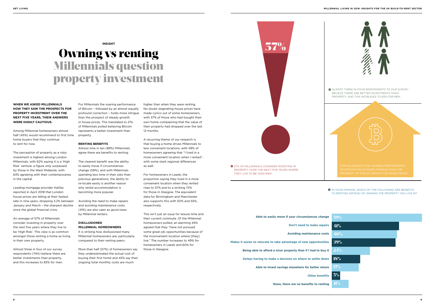**WHEN WE ASKED MILLENNIALS HOW THEY SAW THE PROSPECTS FOR PROPERTY INVESTMENT OVER THE NEXT FIVE YEARS, THEIR ANSWERS WERE HIGHLY CAUTIOUS.**

Among Millennial homeowners almost half (45%) would recommend to first time home buyers that they continue to rent for now.

The perception of property as a risky investment is highest among London Millennials, with 62% saying it is a 'High Risk' venture, a figure only surpassed by those in the West Midlands, with 63% agreeing with their contemporaries in the capital.

Leading mortgage provider Halifax reported in April 2018 that London house prices are falling at their fastest rate in nine years, dropping 3.2% between January and March – the sharpest decline since the global financial crisis.

An average of 57% of Millennials consider investing in property over the next five years where they live to be 'High Risk'. This view is as common amongst those renting a home as living in their own property.

Almost three in four of our survey respondents (74%) believe there are better investments than property, and this increases to 83% for men.

For Millennials the soaring performance of Bitcoin – followed by an almost equally profound correction – holds more intrigue than the prospect of steady growth in house prices. This translated to 21% of Millennials polled believing Bitcoin represents a better investment than property.

#### **RENTING BENEFITS**

Almost nine in ten (89%) Millennials agree there are benefits to renting.

The clearest benefit was the ability to easily move if circumstances change (59%), and with Millennials spending less time in their jobs than previous generations, the ability to re-locate easily is another reason why rental accommodation is becoming more popular.

**ALMOST THREE IN FOUR RESPONDENTS TO OUR SURVEY** BELIEVE THERE ARE BETTER INVESTMENTS THAN PROPERTY, AND THIS INCREASES TO 83% FOR MEN.



Avoiding the need to make repairs and avoiding maintenance costs (41%) are also seen as good news by Millennial renters.

### **DISILLUSIONED MILLENNIAL HOMEOWNERS**

It is striking how disillusioned many Millennial homeowners are, particularly compared to their renting peers.

 $\odot$  57% OF MILLENNIALS CONSIDER INVESTING IN PROPERTY OVER THE NEXT FIVE YEARS WHERE THEY LIVE TO BE 'HIGH RISK'.

More than half (57%) of homeowners say they underestimated the actual cost of buying their first home and 45% say their ongoing total monthly costs are much

**IN YOUR OPINION, WHICH OF THE FOLLOWING ARE BENEFITS** TO RENTING INSTEAD OF OWNING THE PROPERTY YOU LIVE IN?

higher than when they were renting. No doubt stagnating house prices have made cynics out of some homeowners, with 37% of those who had bought their own home complaining that the value of their property had dropped over the last 12 months.

A recurring theme of our research is that buying a home drives Millennials to less convenient locations, with 49% of homeowners agreeing that "I lived in a more convenient location when I rented", with some stark regional differences as well.

For homeowners in Leeds, the proportion saying they lived in a more convenient location when they rented rises to 57% and to a striking 72% for those in Glasgow. The equivalent data for Birmingham and Manchester also supports this with 50% and 55%, respectively.

This isn't just an issue for leisure time and their current commute. Of the Millennial homeowners polled, an alarming 45% agreed that they "have not pursued some great job opportunities because of the inconvenient location where [they] live." The number increases to 49% for homeowners in Leeds and 60% for those in Glasgow.

**INSIGHT**

### Owning vs renting Millennials question property investment

57%

**Able to easily move if your circumstances change**

**Don't need to make repairs**

**Avoiding maintenance costs**

**Makes it easier to relocate to take advantage of new opportunities**

**Being able to afford a nicer property than if I had to buy it**

**Delays having to make a decision on where to settle down**

**Able to invest savings elsewhere for better return**

**Other benefits**

**None, there are no benefits to renting**



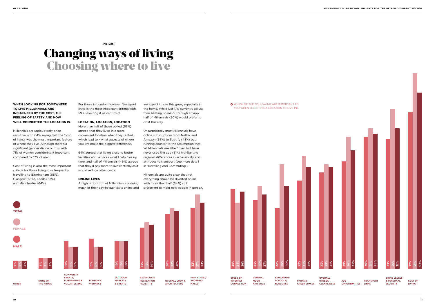**WHEN LOOKING FOR SOMEWHERE TO LIVE MILLENNIALS ARE INFLUENCED BY THE COST, THE FEELING OF SAFETY AND HOW WELL CONNECTED THE LOCATION IS.**

Millennials are undoubtedly price sensitive, with 64% saying that the 'cost of living' was the most important feature of where they live. Although there's a significant gender divide on this with 71% of women considering it important compared to 57% of men.

Cost of living is also the most important criteria for those living in or frequently travelling to Birmingham (65%), Glasgow (66%), Leeds (67%), and Manchester (64%).

For those in London however, 'transport links' is the most important criteria with 59% selecting it as important.

### **LOCATION, LOCATION, LOCATION**

More than half of those polled (53%) agreed that they lived in a more convenient location when they rented, which lead to – what aspects of where you live make the biggest difference?

64% agreed that living close to better facilities and services would help free up time, and half of Millennials (49%) agreed that they'd pay more to live centrally as it would reduce other costs.

#### **ONLINE LIVES**

A high proportion of Millennials are doing much of their day-to-day tasks online and we expect to see this grow, especially in the home. While just 17% currently adjust their heating online or through an app, half of Millennials (50%) would prefer to do it this way.

Unsurprisingly most Millennials have online subscriptions from Netflix and Amazon (63%) to Spotify (48%) but running counter to the assumption that 'all Millennials use Uber' over half have never used the app (51%) highlighting regional differences in accessibility and attitudes to transport (see more detail in 'Travelling and Commuting').

Millennials are quite clear that not everything should be diverted online, with more than half (54%) still preferring to meet new people in person.

**INSIGHT**

### Changing ways of living Choosing where to live



**WHICH OF THE FOLLOWING ARE IMPORTANT TO** YOU WHEN SELECTING A LOCATION TO LIVE IN?

> **JOB OPPORTUNITIES**

**TRANSPORT LINKS**

**CRIME LEVELS & PERSONAL SECURITY**

**COST OF LIVING**



37%



51%

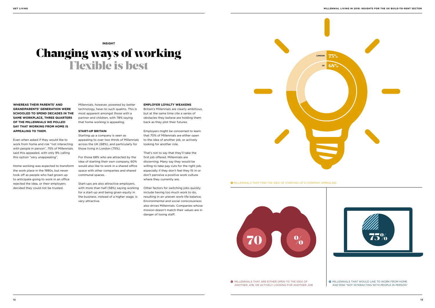**WHEREAS THEIR PARENTS' AND GRANDPARENTS' GENERATION WERE SCHOOLED TO SPEND DECADES IN THE SAME WORKPLACE, THREE QUARTERS OF THE MILLENNIALS WE POLLED SAY THAT WORKING FROM HOME IS APPEALING TO THEM.**

Even when asked if they would like to work from home and risk "not interacting with people in person", 75% of Millennials said this appealed, with only 9% calling this option "very unappealing".

Home working was expected to transform the work place in the 1990s, but never took off as people who had grown up to anticipate going to work in an office rejected the idea, or their employers decided they could not be trusted.

Millennials, however, powered by better technology, have no such qualms. This is most apparent amongst those with a partner and children, with 78% saying that home working is appealing.

#### **START-UP BRITAIN**

Starting up a company is seen as appealing to over two thirds of Millennials across the UK (68%), and particularly for those living in London (75%).

For those 68% who are attracted by the idea of starting their own company, 60% would also like to work in a shared office space with other companies and shared communal spaces.

**MILLENNIALS THAT WOULD LIKE TO WORK FROM HOME** AND RISK "NOT INTERACTING WITH PEOPLE IN PERSON"

Start-ups are also attractive employers, with more than half (58%) saying working for a start-up and being given equity in the business, instead of a higher wage, is very attractive.

#### **EMPLOYER LOYALTY WEAKENS**

Britain's Millennials are clearly ambitious, but at the same time cite a series of obstacles they believe are holding them back as they plot their futures.

Employers might be concerned to learn that 70% of Millennials are either open to the idea of another job, or actively looking for another role.

That's not to say that they'll take the first job offered. Millennials are discerning. Many say they would be willing to take pay cuts for the right job, especially if they don't feel they fit in or don't perceive a positive work culture where they currently are.

Other factors for switching jobs quickly include having too much work to do, resulting in an uneven work-life balance. Environmental and social consciousness also drives Millennials. Companies whose mission doesn't match their values are in danger of losing staff.

**INSIGHT**

### Changing ways of working Flexible is best







**MILLENNIALS THAT FIND THE IDEA OF STARTING UP A COMPANY APPEALING**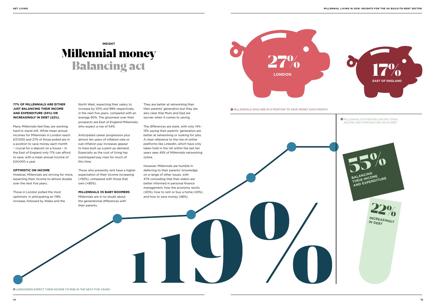LONDONERS EXPECT THEIR INCOME TO RISE IN THE NEXT FIVE YEARS

### **77% OF MILLENNIALS ARE EITHER JUST BALANCING THEIR INCOME AND EXPENDITURE (55%) OR INCREASINGLY IN DEBT (22%).**

Many Millennials feel they are working hard to stand still. While mean annual incomes for Millennials in London reach £37,000 and 27% of those polled are in a position to save money each month – crucial for a deposit on a house – in the East of England only 17% can afford to save, with a mean annual income of £24,000 a year.

#### **OPTIMISTIC ON INCOME**

However, Millennials are striving for more, expecting their income to almost double over the next five years.

Those in London polled the most optimistic in anticipating an 119% increase, followed by Wales and the North West, expecting their salary to increase by 101% and 99% respectively in the next five years, compared with an average 90%. The gloomiest over their prospects are East of England Millennials, who expect a rise of 54%.

Anticipated career progression plus almost ten years of inflation-rate or sub-inflation pay increases appear to have built up a pent-up demand. Especially as the cost of living has outstripped pay rises for much of this time.

Those who presently rent have a higher expectation of their income increasing (+92%), compared with those that own (+85%).

### **MILLENNIALS VS BABY BOOMERS**

Millennials are in no doubt about the generational differences with their parents.

They are better at networking than their parents' generation but they are also clear that Mum and Dad are savvier when it comes to saving.

The differences are stark, with only 14%- 15% saying their parents' generation are better at networking or looking for jobs. A clear reference to the rise of online platforms like LinkedIn, which have only taken hold in the UK within the last ten years sees 45% of Millennials networking online.

However, Millennials are humble in deferring to their parents' knowledge on a range of other issues, with 47% conceding that their elders are better informed in personal finance management, how the economy works (40%), how to rent or buy a home (43%), and how to save money (48%).

### **INSIGHT** Millennial money Balancing act

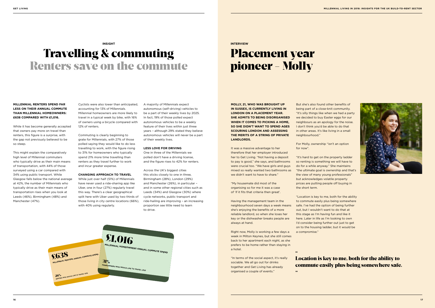### **MILLENNIAL RENTERS SPEND FAR LESS ON THEIR ANNUAL COMMUTE THAN MILLENNIAL HOMEOWNERS: £638 COMPARED WITH £1,016.**

While it has become generally accepted that owners pay more on travel than renters, this figure is a surprise, with the gap not previously believed to be so steep.

This might explain the comparatively high level of Millennial commuters who typically drive as their main means of transportation, with 44% of those surveyed using a car compared with 34% using public transport. While Glasgow falls below the national average at 42%, the number of Millennials who typically drive as their main means of transportation rises when you look at Leeds (46%), Birmingham (48%) and Manchester (47%).

Cyclists were also lower than anticipated, accounting for 13% of Millennials. Millennial homeowners are more likely to travel in a typical week by bike, with 16% of owners using a bicycle compared with 12% of renters.

Commuting is clearly beginning to grate for Millennials, with 27% of those polled saying they would like to do less travelling to work, with the figure rising to 31% for homeowners who typically spend 21% more time travelling than renters as they travel further to work and incur greater expense.

#### **CHANGING APPROACH TO TRAVEL**

While just over half (51%) of Millennials have never used a ride-sharing app like Uber, one in four (27%) regularly travel this way. There's a clear geographical split here with Uber used by two thirds of those living in city centre locations (66%), with 40% using regularly.

A majority of Millennials expect autonomous (self-driving) vehicles to be a part of their weekly lives by 2025. In fact, 19% of those polled expect autonomous vehicles to be a weekly feature of their lives within just three years – although 29% stated they believe autonomous vehicles will never be a part of their weekly lives.

### **LESS LOVE FOR DRIVING**

One in three of the Millennials we polled don't have a driving license, and the figure rises to 42% for renters.

Across the UK's biggest cities this sticks closely to one in three, Birmingham (28%), London (29%) and Manchester (26%), in particular – and in some other regional cities such as Leeds (34%) and Glasgow (30%) where cycle networks, public transport and ride-hailing are improving – an increasing proportion see little need to learn to drive.

#### **INSIGHT**

### Travelling & commuting Renters save on the commute



**MOLLY, 21, WHO WAS BROUGHT UP IN SUSSEX, IS CURRENTLY LIVING IN LONDON ON A PLACEMENT YEAR. SHE ADMITS TO BEING DISORGANISED WHEN IT COMES TO PICKING A HOME, SO SHE DIDN'T WANT TO SPEND AGES SCOURING LONDON AND ASSESSING THE MERITS OF A STRING OF PRIVATE LANDLORDS.** 

It was a massive advantage to her therefore that her employer introduced her to Get Living. "Not having a deposit to pay is good," she says, and bathrooms were crucial too. "We have girls and guys mixed so really wanted two bathrooms as we didn't want to have to share."

"My housemate did most of the organising so for me it was a case of 'if it fits that criteria then great'.

Having the management team in the neighbourhood seven days a week means she's enjoying the benefits of a more reliable landlord, so when she loses her key or the dishwasher breaks people are always at hand.

Right now, Molly is working a few days a week in Milton Keynes, but she still comes back to her apartment each night, as she prefers to be home rather than staying in a hotel.

"In terms of the social aspect, it's really sociable. We all go out for drinks together and Get Living has already organised a couple of events."

But she's also found other benefits of being part of a close-knit community. "It's silly things like when we had a party we decided to buy Easter eggs for our neighbours as an apology for the noise. I don't think you'd be able to do that in other areas. It's like living in a small neighbourhood."

For Molly, ownership "isn't an option for now".

"It's hard to get on the property ladder so renting is something we will have to do for a while anyway." She maintains "the ultimate goal is ownership and that's the view of many young professionals" but acknowledges volatile property prices are putting people off buying in the short term.

"Location is key to me, both for the ability to commute easily plus being somewhere safe. I've had the option of being further out, but I wouldn't want to do that at this stage as I'm having fun and like it here. Later in life as I'm looking to own I'd consider being further out just to get on to the housing ladder, but it would be a compromise."

**"** 

..

#### **INTERVIEW**

### Placement year pioneer - Molly

Location is key to me, both for the ability to commute easily plus being somewhere safe.

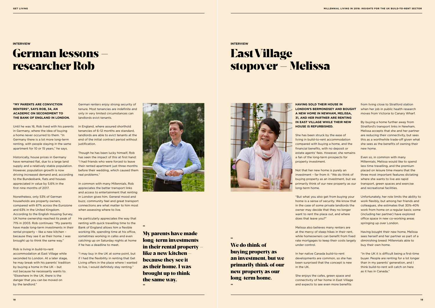### **"MY PARENTS ARE CONVICTION RENTERS", SAYS ROB, 34, AN ACADEMIC ON SECONDMENT TO THE BANK OF ENGLAND IN LONDON.**

Until he was 16, Rob lived with his parents In England, where assured shorthold in Germany, where the idea of buying a home never occurred to them. "In Germany there is a lot more long-term renting, with people staying in the same apartment for 10 or 15 years," he says.

Historically, house prices in Germany have remained flat, due to a large land supply and a relatively stable population. However, population growth is now driving increased demand and, according to the Bundesbank, flats and houses appreciated in value by 5.6% in the first nine months of 2017.

tenancies of 6–12 months are standard, landlords are able to evict tenants at the end of the initial contract period without justification.

Nonetheless, only 53% of German households are property owners, compared with 67% across the Eurozone and 63% in the United Kingdom. According to the English Housing Survey, UK home ownership reached its peak of 71% in 2003. Rob continues: "My parents have made long-term investments in their rental property – like a new kitchen – because they see it as their home. I was brought up to think the same way."

Rob is living in build-to-rent accommodation at East Village while seconded to London. At a later stage, he may break with his parents' tradition by buying a home in the UK – but not because he necessarily wants to. "Elsewhere In the UK, there is the danger that you can be moved on by the landlord."

**"** My parents have made long-term investments in their rental property – like a new kitchen – because they see it as their home. I was brought up to think the same way.

"

German renters enjoy strong security of tenure. Most tenancies are indefinite and only in very limited circumstances can landlords evict tenants.

Though he has been lucky himself, Rob has seen the impact of this at first hand: "I had friends who were forced to leave their rented apartment just three months before their wedding, which caused them real problems."

In common with many Millennials, Rob appreciates the better transport links and access to entertainment that renting in London gives him. General mood and buzz, community feel and great transport connections are what matter to him most when assessing where to live.

He particularly appreciates the way that renting with quick travelling time to the Bank of England allows him a flexible working life, spending time at his office, sometimes working in cafes and even catching up on Saturday nights at home if he has a deadline to meet.

"I may buy in the UK at some point, but if I had the flexibility in renting that Get Living offers in the place where I wanted to live, I would definitely stay renting."



**INTERVIEW**

### German lessons – researcher Rob

### **INTERVIEW**

# East Village stopover – Melissa



**"** 

We do think of

buying property as

an investment, but we primarily think of our new property as our

long-term home.

"

**HAVING SOLD THEIR HOUSE IN LONDON'S BERMONDSEY AND BOUGHT A NEW HOME IN NEWHAM, MELISSA, 31, AND HER PARTNER ARE RENTING IN EAST VILLAGE WHILE THEIR NEW HOUSE IS REFURBISHED.**

She has been struck by the ease of living in build-to-rent accommodation compared with buying a home, and the financial benefits, with no deposit or estate agents' fees. However, she remains a fan of the long-term prospects for property investment.

Not that her new home is purely an investment – far from it: "We do think of buying property as an investment, but we primarily think of our new property as our long-term home.

"But what you also get from buying your home is a sense of security. We know that in the case of some private landlords the owner may decide that they no longer want to rent the place out, and where does that leave you?"

Melissa also believes many renters are at the mercy of steep hikes in their rent, while homeowners can benefit from fixed rate mortgages to keep their costs largely under control.

In her native Canada build-to-rent developments are common, so she has been surprised that the concept is new in the UK.

She enjoys the cafes, green space and connectivity of her home in East Village and expects to see even more benefits

from living close to Stratford station when her job in public health research moves from Victoria to Canary Wharf.

By buying a home further away from Stratford's transport links in Newham, Melissa accepts that she and her partner are reducing their connectivity, but sees this as a worthwhile trade-off given what she sees as the benefits of owning their new home.

Even so, in common with many Millennials, Melissa would like to spend less time travelling, and the premium placed on leisure time means that the three most important features dictating where she wants to live are rapid transport, green spaces and exercise and recreational facilities.

Unfortunately, her role limits the ability to work flexibly, but among her friends and colleagues, she estimates that 30%-40% work from home on a regular basis; some (including her partner) have explored office space in new co-working areas springing up over London.

Having bought their new home, Melissa sees herself and her partner as part of a diminishing breed: Millennials able to buy their own home.

"In the UK it is difficult being a first-time buyer. People are renting for a lot longer than in my parents' generation, and I think build-to-rent will catch on here as it has in Canada."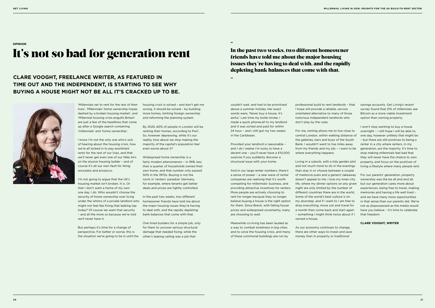**OPINION**

# It's not so bad for generation rent

### **CLARE VOOGHT, FREELANCE WRITER, AS FEATURED IN TIME OUT AND THE INDEPENDENT, IS STARTING TO SEE WHY BUYING A HOUSE MIGHT NOT BE ALL IT'S CRACKED UP TO BE.**



In the past two weeks, two different homeowner friends have told me about the major housing issues they're having to deal with, and the rapidly depleting bank balances that come with that.

'Millennials set to rent for the rest of their lives', 'Millennials' home ownership hopes dashed by a broken housing market', and 'Millennial housing crisis engulfs Britain' are just a few of the headlines that come up after a Google search containing 'millennials' and 'home ownership'.

I know I'm not the only one who's sick of hearing about the housing crisis, how we're all locked in to pay exorbitant rents for the rest of our lives, and that we'll never get even one of our Nike Airs on the elusive housing ladder – and of course it's all our own fault for liking avocados and prosecco.

I'm not going to argue that the UK's housing market isn't broken. It is. Or that I don't want a home of my own one day. I do. Who wouldn't choose the security of home ownership over living under the whims of a private landlord who might not feel like fixing that leaking tap today? Of course we want that security – and all the more so because we're told we'll never have it.

But perhaps it's time for a change of perspective. For better or worse, this is the situation we're going to be in until the

housing crisis is solved – and don't get me wrong, it should be solved – by building more homes, limiting foreign ownership and reforming the planning system.

By 2025, 60% of people in London will be renting their homes, according to PwC. So, however depressing, while it's our reality, how about we stop making the majority of the capital's population feel even worse about it?

Widespread home ownership is a fairly modern phenomenon – in 1918, less than a quarter of households owned their own home, and that number only passed 50% in the 1970s. Buying is not the norm in 'renters' paradise' Germany, for example, where tenants get better deals and prices are tightly controlled.

In the past two weeks, two different homeowner friends have told me about the major housing issues they're having to deal with, and the rapidly depleting bank balances that come with that.

One hired builders for a simple job, only for them to uncover serious structural damage that needed fixing, while the other's leaking ceiling was a job that

couldn't wait, and had to be prioritised above a summer holiday. Her exact words were, 'Never buy a house, it's awful.' Last time my boiler broke, I made a quick phonecall to my landlord and it was sorted and paid for within 24 hour – and I still got my two weeks in the Caribbean.

**"** 

"

Provided your landlord is reasonable – and I do I realise I'm lucky to have a decent one – you'll never have a £10,000 surprise if you suddenly discover a structural issue with your home.

And in our large renter numbers, there's a sense of power – a new wave of rental companies are realising that it's worth competing for millennials' business, and providing attractive incentives for renters. More people are actively choosing to rent for longer because they no longer believe buying a house is the right option for them. Since Brexit, with falling house prices and widespread uncertainty, many are choosing to wait.

Meanwhile co-living has been lauded as a way to combat loneliness in big cities and to solve the housing crisis, and many of these communal buildings are run by

professional build to rent landlords – that I hope will provide a reliable, service orientated alternative to many of those notorious independent landlords who don't play by the rules.

For me, renting allows me to live close to central London, within walking distance of the galleries, bars and buzz of the South Bank. I wouldn't want to live miles away from my friends and my job – I want to be where everything happens.

Living in a suburb, with a tidy garden plot and not much more to do in the evenings than stay in or choose between a couple of mediocre pubs and a generic takeaway doesn't appeal to me. I love my inner-city life, where my dinner options on any given night are only limited by the number of different countries there are in the world. Some of the world's best culture is on my doorstep, and if I want to I am free to drop everything, move out and travel for a month then come back and start again – something I might think twice about if I owned a house.

As our economy continues to change, there are other ways to invest and save money than in property or traditional

savings accounts. Get Living's recent survey found that 21% of millennials see Bitcoin as a more viable investment option than owning property.

I won't stop wanting to buy a house overnight – I still hope I will be able to, one day, however unlikely that might be – but there are still positives to being a renter in a city where renters, in my generation, are the majority. It's time to stop making millennials feel bad that they will never have the chance to own property, and focus on the positives of living a lifestyle where many people rent.

For our parents' generation, property ownership was the be all and end all, but our generation cares more about experiences, being free to travel, making memories and having a life well lived – and we have many more opportunities in that sense than our parents did. We're not as dispossessed as the media would have you believe – it's time to celebrate that freedom.

### **CLARE VOOGHT, WRITER**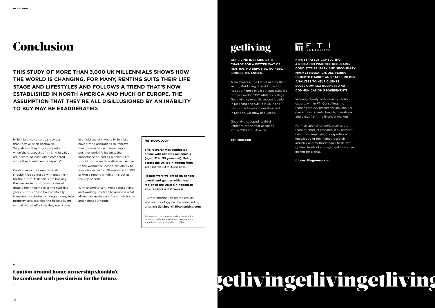### Conclusion

Millennials may also be shrewder than they've been portrayed. Why should they buy a property when the prospects of it rising in value are distant, at least when compared with other investment prospects?

Caution around home ownership shouldn't be confused with pessimism for the future. Millennials are backing themselves in most cases to almost double their income over the next five years but this doesn't automatically translate to a desire to plough money into Millennials really want from their homes property, and sacrifice the flexible living with all its benefits that they enjoy now.

In a fluid society, where Millennials have strong aspirations to improve their income while maintaining a positive work-life balance, the importance of leading a flexible life should not be under-estimated. As ties to the workplace loosen, the ability to move is crucial for Millennials, with 59% of those renting singling this out as the key benefit.

With changing sentiment across living and working, it's time to reassess what and neighbourhoods.

**THIS STUDY OF MORE THAN 3,000 UK MILLENNIALS SHOWS HOW THE WORLD IS CHANGING. FOR MANY, RENTING SUITS THEIR LIFE STAGE AND LIFESTYLES AND FOLLOWS A TREND THAT'S NOW ESTABLISHED IN NORTH AMERICA AND MUCH OF EUROPE. THE ASSUMPTION THAT THEY'RE ALL DISILLUSIONED BY AN INABILITY TO BUY MAY BE EXAGGERATED.**

#### **METHODOLOGY**

**This research was conducted online with n=3,065 millennials (aged 21 to 35 years old), living across the United Kingdom from 28th March – 4th April 2018.**

**Results were weighted on gender overall and gender within each region of the United Kingdom to ensure representativeness.** 

Further information on the results and methodology can be obtained by emailing **dan.healy@fticonsulting.com** 

Please note that the standard convention for rounding has been applied and consequently some totals may not add up to 100%.

Caution around home ownership shouldn't be confused with pessimism for the future.

**22**

**"** 

**"** 



### getliving

**GET LIVING IS LEADING THE CHARGE FOR A BETTER WAY OF RENTING. NO DEPOSITS, NO FEES, LONGER TENANCIES.**

A trailblazer in the UK's 'Build-to-Rent' sector, Get Living is best known for its 1,500 homes in East Village E20, the former London 2012 Athletes' Village. Get Living opened its second location in Elephant and Castle in 2017 and has further homes in development in London, Glasgow and Leeds.

Get Living scooped its third Landlord of the Year accolade at the 2018 RESI Awards.

**getliving.com**



**FTI'S STRATEGY CONSULTING & RESEARCH PRACTICE REGULARLY CONDUCTS PRIMARY AND SECONDARY MARKET RESEARCH, DELIVERING IN-DEPTH MARKET AND STAKEHOLDER ANALYSES TO HELP CLIENTS SOLVE COMPLEX BUSINESS AND COMMUNICATION REQUIREMENTS.**

Working closely with industry sector experts within FTI Consulting, the team rigorously researches stakeholder perceptions, clients' brands, operations and views from the financial markets.

Its international network enables the team to conduct research in all relevant countries, employing its expertise and knowledge of the market research industry and methodologies to deliver optimal levels of strategic and indicative insight for clients.

**fticonsulting-emea.com**